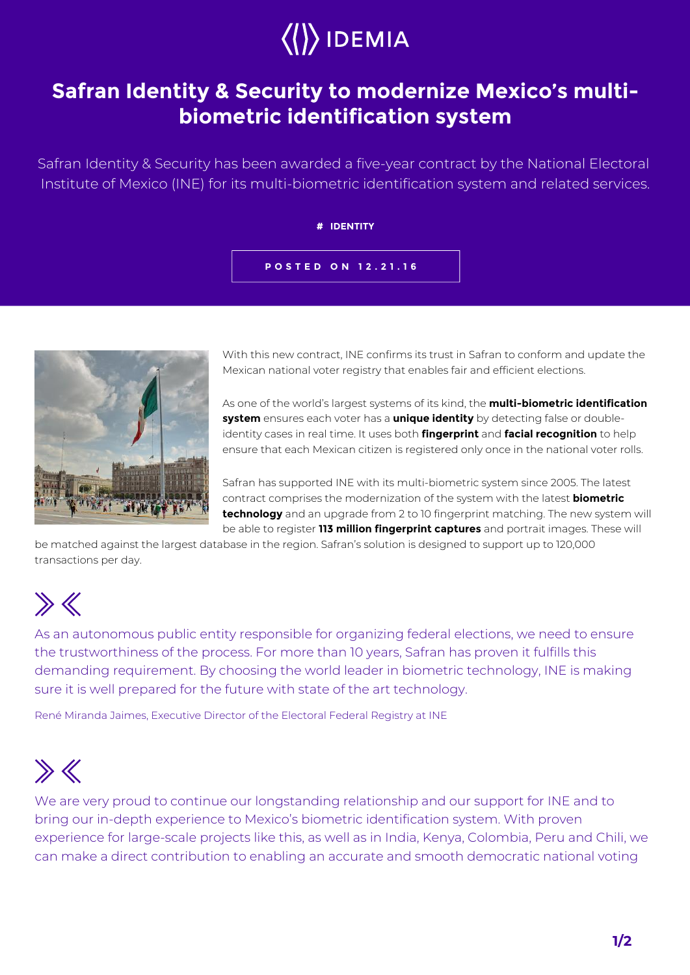# $\langle\langle\rangle\rangle$  IDEMIA

### **Safran Identity & Security to modernize Mexico's multibiometric identification system**

Safran Identity & Security has been awarded a five-year contract by the National Electoral Institute of Mexico (INE) for its multi-biometric identification system and related services.

#### **# IDENTITY**

#### **POSTED ON 12.21.16**



With this new contract, INE confirms its trust in Safran to conform and update the Mexican national voter registry that enables fair and efficient elections.

As one of the world's largest systems of its kind, the **multi-biometric identification system** ensures each voter has a **unique identity** by detecting false or doubleidentity cases in real time. It uses both **fingerprint** and **facial recognition** to help ensure that each Mexican citizen is registered only once in the national voter rolls.

Safran has supported INE with its multi-biometric system since 2005. The latest contract comprises the modernization of the system with the latest **biometric technology** and an upgrade from 2 to 10 fingerprint matching. The new system will be able to register **113 million fingerprint captures** and portrait images. These will

be matched against the largest database in the region. Safran's solution is designed to support up to 120,000 transactions per day.

## $\gg K$

As an autonomous public entity responsible for organizing federal elections, we need to ensure the trustworthiness of the process. For more than 10 years, Safran has proven it fulfills this demanding requirement. By choosing the world leader in biometric technology, INE is making sure it is well prepared for the future with state of the art technology.

René Miranda Jaimes, Executive Director of the Electoral Federal Registry at INE

## $\gg K$

We are very proud to continue our longstanding relationship and our support for INE and to bring our in-depth experience to Mexico's biometric identification system. With proven experience for large-scale projects like this, as well as in India, Kenya, Colombia, Peru and Chili, we can make a direct contribution to enabling an accurate and smooth democratic national voting